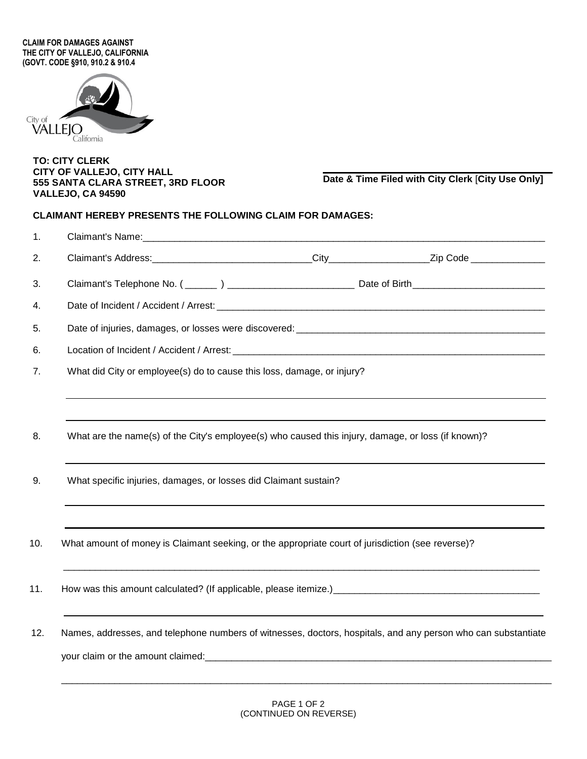**CLAIM FOR DAMAGES AGAINST THE CITY OF VALLEJO, CALIFORNIA (GOVT. CODE §910, 910.2 & 910.4**



## **TO: CITY CLERK CITY OF VALLEJO, CITY HALL 555 SANTA CLARA STREET, 3RD FLOOR VALLEJO, CA 94590**

**Date & Time Filed with City Clerk** [**City Use Only]**

## **CLAIMANT HEREBY PRESENTS THE FOLLOWING CLAIM FOR DAMAGES:**

| What did City or employee(s) do to cause this loss, damage, or injury?                                         |  |  |  |  |  |
|----------------------------------------------------------------------------------------------------------------|--|--|--|--|--|
| What are the name(s) of the City's employee(s) who caused this injury, damage, or loss (if known)?             |  |  |  |  |  |
| What specific injuries, damages, or losses did Claimant sustain?                                               |  |  |  |  |  |
|                                                                                                                |  |  |  |  |  |
| What amount of money is Claimant seeking, or the appropriate court of jurisdiction (see reverse)?              |  |  |  |  |  |
|                                                                                                                |  |  |  |  |  |
| Names, addresses, and telephone numbers of witnesses, doctors, hospitals, and any person who can substantiate  |  |  |  |  |  |
| your claim or the amount claimed: example and a series of the series of the series of the series of the series |  |  |  |  |  |

\_\_\_\_\_\_\_\_\_\_\_\_\_\_\_\_\_\_\_\_\_\_\_\_\_\_\_\_\_\_\_\_\_\_\_\_\_\_\_\_\_\_\_\_\_\_\_\_\_\_\_\_\_\_\_\_\_\_\_\_\_\_\_\_\_\_\_\_\_\_\_\_\_\_\_\_\_\_\_\_\_\_\_\_\_\_\_\_\_\_\_\_